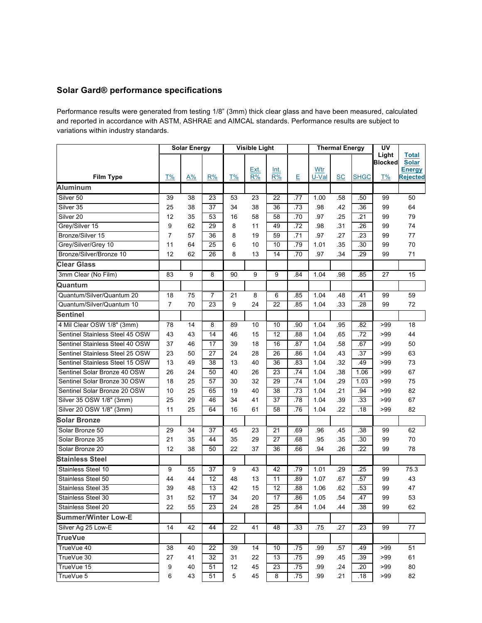## **Solar Gard® performance specifications**

Performance results were generated from testing 1/8" (3mm) thick clear glass and have been measured, calculated and reported in accordance with ASTM, ASHRAE and AIMCAL standards. Performance results are subject to variations within industry standards.

|                                 | <b>Solar Energy</b> |       |                 | <b>Visible Light</b> |      |                 |     | <b>Thermal Energy</b> |           |             | UV             |                               |
|---------------------------------|---------------------|-------|-----------------|----------------------|------|-----------------|-----|-----------------------|-----------|-------------|----------------|-------------------------------|
|                                 |                     |       |                 |                      |      |                 |     |                       |           |             | Light          | <b>Total</b>                  |
|                                 |                     |       |                 |                      | Ext. | Int.            |     | Wtr                   |           |             | <b>Blocked</b> | <b>Solar</b><br><b>Energy</b> |
| <b>Film Type</b>                | T%                  | $A\%$ | R%              | T%                   | R%   | R%              | E   | U-Val                 | <b>SC</b> | <b>SHGC</b> | T%             | <b>Rejected</b>               |
| <b>Aluminum</b>                 |                     |       |                 |                      |      |                 |     |                       |           |             |                |                               |
| Silver 50                       | 39                  | 38    | 23              | 53                   | 23   | 22              | .77 | 1.00                  | .58       | .50         | 99             | 50                            |
| Silver 35                       | 25                  | 38    | 37              | 34                   | 38   | 36              | .73 | .98                   | .42       | .36         | 99             | 64                            |
| Silver <sub>20</sub>            | 12                  | 35    | 53              | 16                   | 58   | 58              | .70 | .97                   | .25       | .21         | 99             | 79                            |
| Grey/Silver 15                  | 9                   | 62    | 29              | 8                    | 11   | 49              | .72 | .98                   | .31       | .26         | 99             | 74                            |
| Bronze/Silver 15                | $\overline{7}$      | 57    | 36              | 8                    | 19   | 59              | .71 | .97                   | .27       | .23         | 99             | 77                            |
| Grey/Silver/Grey 10             | 11                  | 64    | 25              | 6                    | 10   | 10              | .79 | 1.01                  | .35       | .30         | 99             | 70                            |
| Bronze/Silver/Bronze 10         | 12                  | 62    | 26              | 8                    | 13   | 14              | .70 | .97                   | .34       | .29         | 99             | 71                            |
| <b>Clear Glass</b>              |                     |       |                 |                      |      |                 |     |                       |           |             |                |                               |
| 3mm Clear (No Film)             | 83                  | 9     | 8               | 90                   | 9    | 9               | .84 | 1.04                  | .98       | .85         | 27             | 15                            |
| Quantum                         |                     |       |                 |                      |      |                 |     |                       |           |             |                |                               |
| Quantum/Silver/Quantum 20       | 18                  | 75    | $\overline{7}$  | 21                   | 8    | 6               | .85 | 1.04                  | .48       | .41         | 99             | 59                            |
| Quantum/Silver/Quantum 10       | $\overline{7}$      | 70    | $\overline{23}$ | 9                    | 24   | $\overline{22}$ | .85 | 1.04                  | .33       | .28         | 99             | 72                            |
| <b>Sentinel</b>                 |                     |       |                 |                      |      |                 |     |                       |           |             |                |                               |
| 4 Mil Clear OSW 1/8" (3mm)      | 78                  | 14    | 8               | 89                   | 10   | 10              | .90 | 1.04                  | .95       | .82         | >99            | 18                            |
| Sentinel Stainless Steel 45 OSW | 43                  | 43    | 14              | 46                   | 15   | $\overline{12}$ | .88 | 1.04                  | .65       | .72         | >99            | 44                            |
| Sentinel Stainless Steel 40 OSW | 37                  | 46    | 17              | 39                   | 18   | 16              | .87 | 1.04                  | .58       | .67         | >99            | 50                            |
| Sentinel Stainless Steel 25 OSW | 23                  | 50    | 27              | 24                   | 28   | 26              | .86 | 1.04                  | .43       | .37         | >99            | 63                            |
| Sentinel Stainless Steel 15 OSW | 13                  | 49    | 38              | 13                   | 40   | 36              | .83 | 1.04                  | .32       | .49         | >99            | 73                            |
| Sentinel Solar Bronze 40 OSW    | 26                  | 24    | 50              | 40                   | 26   | 23              | .74 | 1.04                  | .38       | 1.06        | >99            | 67                            |
| Sentinel Solar Bronze 30 OSW    | 18                  | 25    | 57              | 30                   | 32   | 29              | .74 | 1.04                  | .29       | 1.03        | >99            | 75                            |
| Sentinel Solar Bronze 20 OSW    | 10                  | 25    | 65              | 19                   | 40   | 38              | .73 | 1.04                  | .21       | .94         | >99            | 82                            |
| Silver 35 OSW 1/8" (3mm)        | 25                  | 29    | 46              | 34                   | 41   | 37              | .78 | 1.04                  | .39       | .33         | >99            | 67                            |
| Silver 20 OSW 1/8" (3mm)        | 11                  | 25    | 64              | 16                   | 61   | 58              | .76 | 1.04                  | .22       | .18         | >99            | 82                            |
| Solar Bronze                    |                     |       |                 |                      |      |                 |     |                       |           |             |                |                               |
| Solar Bronze 50                 | 29                  | 34    | 37              | 45                   | 23   | 21              | .69 | .96                   | .45       | .38         | 99             | 62                            |
| Solar Bronze 35                 | 21                  | 35    | 44              | 35                   | 29   | 27              | .68 | .95                   | .35       | .30         | 99             | 70                            |
| Solar Bronze 20                 | 12                  | 38    | 50              | 22                   | 37   | 36              | .66 | .94                   | .26       | .22         | 99             | 78                            |
| <b>Stainless Steel</b>          |                     |       |                 |                      |      |                 |     |                       |           |             |                |                               |
| Stainless Steel 10              | 9                   | 55    | 37              | 9                    | 43   | 42              | .79 | 1.01                  | .29       | .25         | 99             | 75.3                          |
| Stainless Steel 50              | 44                  | 44    | 12              | 48                   | 13   | 11              | .89 | 1.07                  | .67       | .57         | 99             | 43                            |
| Stainless Steel 35              | 39                  | 48    | $\overline{13}$ | 42                   | 15   | $\overline{12}$ | .88 | 1.06                  | .62       | .53         | 99             | 47                            |
| Stainless Steel 30              | 31                  | 52    | 17              | 34                   | 20   | 17              | .86 | 1.05                  | .54       | .47         | 99             | 53                            |
| Stainless Steel 20              | 22                  | 55    | 23              | 24                   | 28   | 25              | .84 | 1.04                  | .44       | .38         | 99             | 62                            |
| <b>Summer/Winter Low-E</b>      |                     |       |                 |                      |      |                 |     |                       |           |             |                |                               |
| Silver Ag 25 Low-E              | 14                  | 42    | 44              | 22                   | 41   | 48              | .33 | .75                   | .27       | .23         | 99             | 77                            |
| <b>TrueVue</b>                  |                     |       |                 |                      |      |                 |     |                       |           |             |                |                               |
| TrueVue 40                      | 38                  | 40    | 22              | 39                   | 14   | 10              | .75 | .99                   | .57       | .49         | >99            | 51                            |
| TrueVue 30                      | 27                  | 41    | 32              | 31                   | 22   | 13              | .75 | .99                   | .45       | .39         | >99            | 61                            |
| TrueVue 15                      | 9                   | 40    | 51              | 12                   | 45   | 23              | .75 | .99                   | .24       | .20         | >99            | 80                            |
| TrueVue 5                       | 6                   | 43    | 51              | 5                    | 45   | 8               | .75 | .99                   | .21       | .18         | >99            | 82                            |